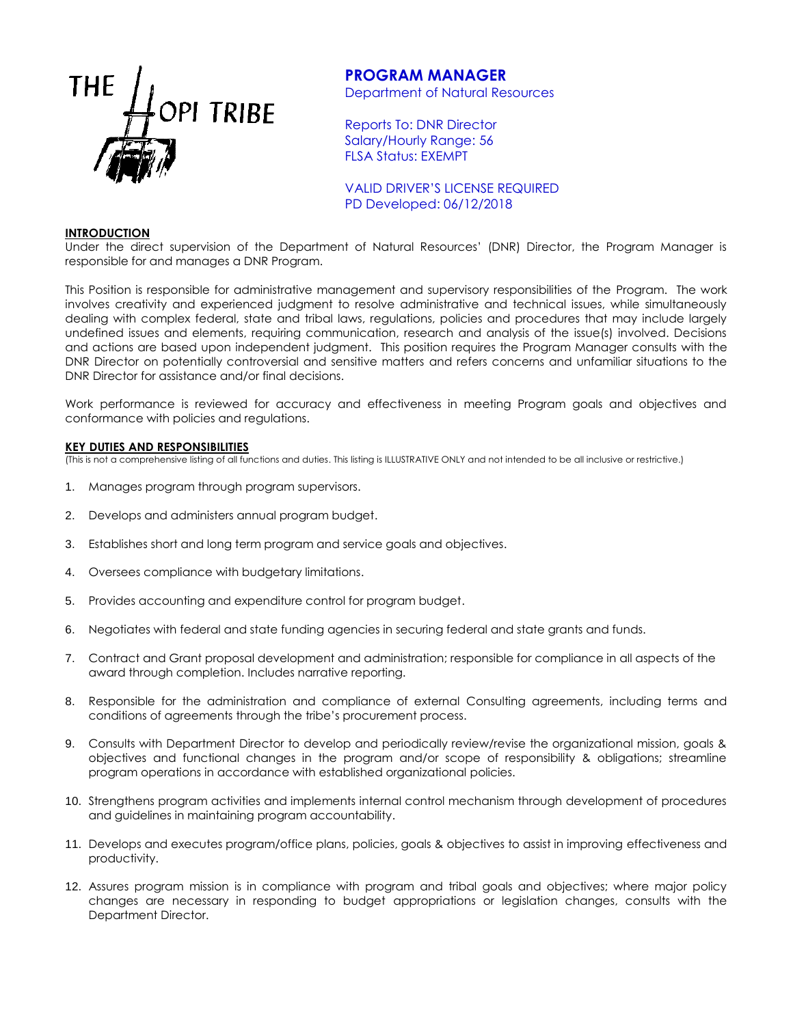

# **PROGRAM MANAGER**

Department of Natural Resources

Reports To: DNR Director Salary/Hourly Range: 56 FLSA Status: EXEMPT

VALID DRIVER'S LICENSE REQUIRED PD Developed: 06/12/2018

#### **INTRODUCTION**

Under the direct supervision of the Department of Natural Resources' (DNR) Director, the Program Manager is responsible for and manages a DNR Program.

This Position is responsible for administrative management and supervisory responsibilities of the Program. The work involves creativity and experienced judgment to resolve administrative and technical issues, while simultaneously dealing with complex federal, state and tribal laws, regulations, policies and procedures that may include largely undefined issues and elements, requiring communication, research and analysis of the issue(s) involved. Decisions and actions are based upon independent judgment. This position requires the Program Manager consults with the DNR Director on potentially controversial and sensitive matters and refers concerns and unfamiliar situations to the DNR Director for assistance and/or final decisions.

Work performance is reviewed for accuracy and effectiveness in meeting Program goals and objectives and conformance with policies and regulations.

#### **KEY DUTIES AND RESPONSIBILITIES**

(This is not a comprehensive listing of all functions and duties. This listing is ILLUSTRATIVE ONLY and not intended to be all inclusive or restrictive.)

- 1. Manages program through program supervisors.
- 2. Develops and administers annual program budget.
- 3. Establishes short and long term program and service goals and objectives.
- 4. Oversees compliance with budgetary limitations.
- 5. Provides accounting and expenditure control for program budget.
- 6. Negotiates with federal and state funding agencies in securing federal and state grants and funds.
- 7. Contract and Grant proposal development and administration; responsible for compliance in all aspects of the award through completion. Includes narrative reporting.
- 8. Responsible for the administration and compliance of external Consulting agreements, including terms and conditions of agreements through the tribe's procurement process.
- 9. Consults with Department Director to develop and periodically review/revise the organizational mission, goals & objectives and functional changes in the program and/or scope of responsibility & obligations; streamline program operations in accordance with established organizational policies.
- 10. Strengthens program activities and implements internal control mechanism through development of procedures and guidelines in maintaining program accountability.
- 11. Develops and executes program/office plans, policies, goals & objectives to assist in improving effectiveness and productivity.
- 12. Assures program mission is in compliance with program and tribal goals and objectives; where major policy changes are necessary in responding to budget appropriations or legislation changes, consults with the Department Director.